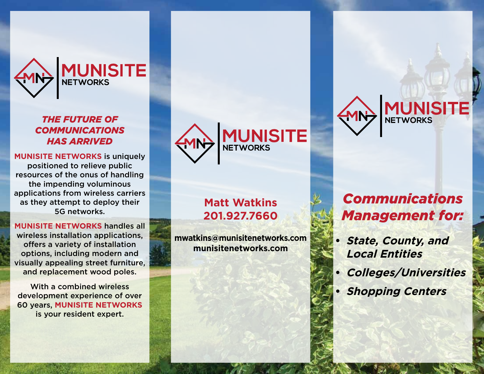

### *The future of communications has arrived*

**Munisite Networks** is uniquely positioned to relieve public resources of the onus of handling the impending voluminous applications from wireless carriers as they attempt to deploy their 5G networks.

**Munisite Networks** handles all wireless installation applications, offers a variety of installation options, including modern and visually appealing street furniture, and replacement wood poles.

With a combined wireless development experience of over 60 years, **Munisite Networks** is your resident expert.



## **Matt Watkins 201.927.7660**

**mwatkins@munisitenetworks.com munisitenetworks.com**



# *Communications Management for:*

- *<u>State, County, and</u>* **Local Entities**
- **• Colleges/Universities**
- **Shopping Centers**